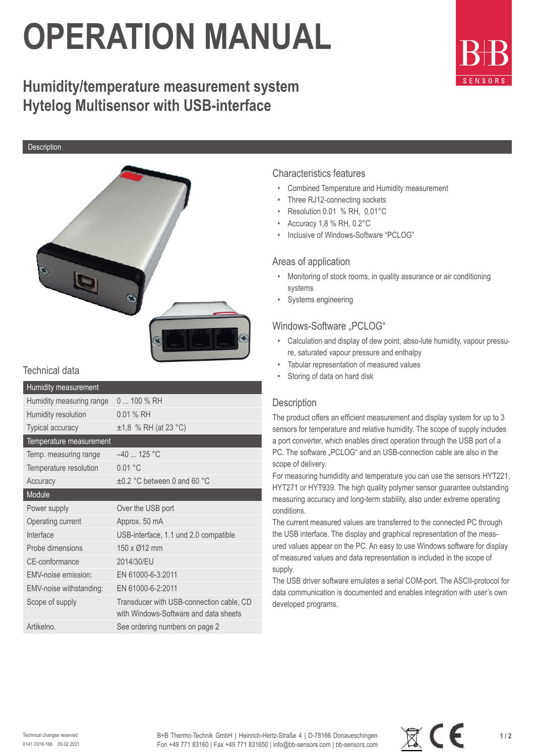# **OPERATION MANUAL**

# **Humidity/temperature measurement system Hytelog Multisensor with USB-interface**

**Description** 



# Technical data

| <b>Humidity measurement</b> |                                                                                   |
|-----------------------------|-----------------------------------------------------------------------------------|
| Humidity measuring range    | $0100\%$ RH                                                                       |
| Humidity resolution         | $0.01%$ RH                                                                        |
| Typical accuracy            | $±1,8$ % RH (at 23 °C)                                                            |
| Temperature measurement     |                                                                                   |
| Temp. measuring range       | $-40$ 125 °C                                                                      |
| Temperature resolution      | 0.01 °C                                                                           |
| Accuracy                    | $\pm 0.2$ °C between 0 and 60 °C                                                  |
| Module                      |                                                                                   |
| Power supply                | Over the USB port                                                                 |
| Operating current           | Approx. 50 mA                                                                     |
| Interface                   | USB-interface, 1.1 und 2.0 compatible                                             |
| Probe dimensions            | 150 x Ø12 mm                                                                      |
| CE-conformance              | 2014/30/EU                                                                        |
| FMV-noise emission:         | EN 61000-6-3:2011                                                                 |
| EMV-noise withstanding:     | EN 61000-6-2:2011                                                                 |
| Scope of supply             | Transducer with USB-connection cable, CD<br>with Windows-Software and data sheets |
| Artikelno.                  | See ordering numbers on page 2                                                    |

# Characteristics features

- Combined Temperature and Humidity measurement
- Three RJ12-connecting sockets
- Resolution 0.01 % RH, 0.01°C
- Accuracy 1,8 % RH, 0.2°C
- Inclusive of Windows-Software "PCLOG"

#### Areas of application

- Monitoring of stock rooms, in quality assurance or air conditioning systems
- Systems engineering

## Windows-Software "PCLOG"

- Calculation and display of dew point, abso-lute humidity, vapour pressure, saturated vapour pressure and enthalpy
- Tabular representation of measured values
- Storing of data on hard disk

# **Description**

The product offers an efficient measurement and display system for up to 3 sensors for temperature and relative humidity. The scope of supply includes a port converter, which enables direct operation through the USB port of a PC. The software "PCLOG" and an USB-connection cable are also in the scope of delivery.

For measuring humdidity and temperature you can use the sensors HYT221, HYT271 or HYT939. The high quality polymer sensor guarantee outstanding measuring accuracy and long-term stability, also under extreme operating conditions.

The current measured values are transferred to the connected PC through the USB interface. The display and graphical representation of the measured values appear on the PC. An easy to use Windows software for display of measured values and data representation is included in the scope of supply.

The USB driver software emulates a serial COM-port. The ASCII-protocol for data communication is documented and enables integration with user's own developed programs.